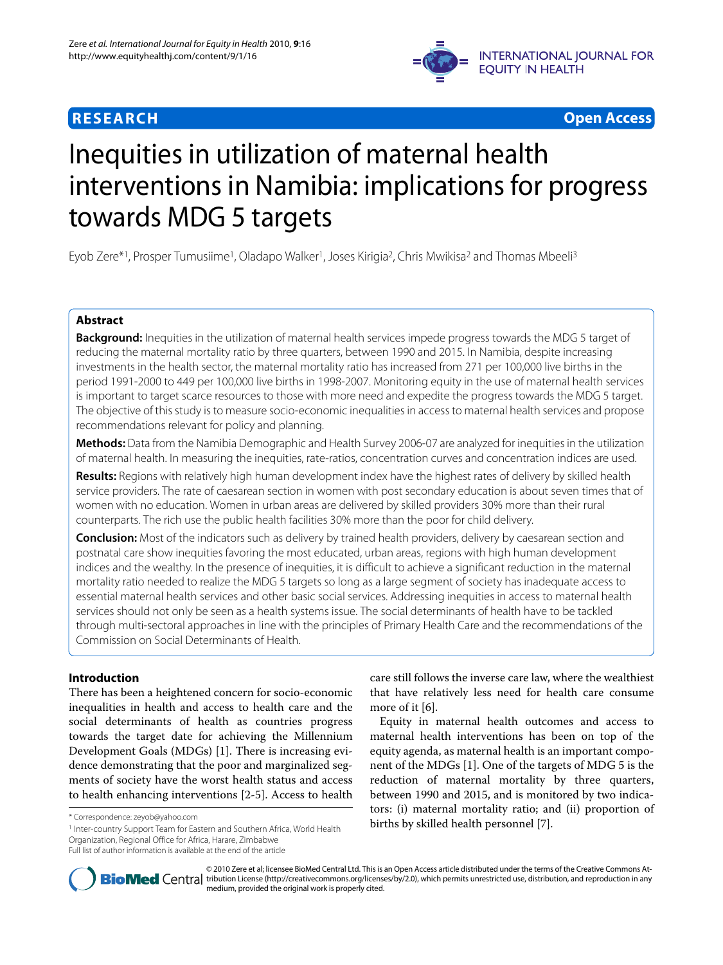# **RESEARCH Open Access**



# Inequities in utilization of maternal health interventions in Namibia: implications for progress towards MDG 5 targets

Eyob Zere\*1, Prosper Tumusiime<sup>1</sup>, Oladapo Walker<sup>1</sup>, Joses Kirigia<sup>2</sup>, Chris Mwikisa<sup>2</sup> and Thomas Mbeeli<sup>3</sup>

# **Abstract**

**Background:** Inequities in the utilization of maternal health services impede progress towards the MDG 5 target of reducing the maternal mortality ratio by three quarters, between 1990 and 2015. In Namibia, despite increasing investments in the health sector, the maternal mortality ratio has increased from 271 per 100,000 live births in the period 1991-2000 to 449 per 100,000 live births in 1998-2007. Monitoring equity in the use of maternal health services is important to target scarce resources to those with more need and expedite the progress towards the MDG 5 target. The objective of this study is to measure socio-economic inequalities in access to maternal health services and propose recommendations relevant for policy and planning.

**Methods:** Data from the Namibia Demographic and Health Survey 2006-07 are analyzed for inequities in the utilization of maternal health. In measuring the inequities, rate-ratios, concentration curves and concentration indices are used.

**Results:** Regions with relatively high human development index have the highest rates of delivery by skilled health service providers. The rate of caesarean section in women with post secondary education is about seven times that of women with no education. Women in urban areas are delivered by skilled providers 30% more than their rural counterparts. The rich use the public health facilities 30% more than the poor for child delivery.

**Conclusion:** Most of the indicators such as delivery by trained health providers, delivery by caesarean section and postnatal care show inequities favoring the most educated, urban areas, regions with high human development indices and the wealthy. In the presence of inequities, it is difficult to achieve a significant reduction in the maternal mortality ratio needed to realize the MDG 5 targets so long as a large segment of society has inadequate access to essential maternal health services and other basic social services. Addressing inequities in access to maternal health services should not only be seen as a health systems issue. The social determinants of health have to be tackled through multi-sectoral approaches in line with the principles of Primary Health Care and the recommendations of the Commission on Social Determinants of Health.

# **Introduction**

There has been a heightened concern for socio-economic inequalities in health and access to health care and the social determinants of health as countries progress towards the target date for achieving the Millennium Development Goals (MDGs) [[1\]](#page-10-0). There is increasing evidence demonstrating that the poor and marginalized segments of society have the worst health status and access to health enhancing interventions [[2-](#page-10-1)[5](#page-10-2)]. Access to health

1 Inter-country Support Team for Eastern and Southern Africa, World Health Organization, Regional Office for Africa, Harare, Zimbabwe

care still follows the inverse care law, where the wealthiest that have relatively less need for health care consume more of it [\[6](#page-10-3)].

Equity in maternal health outcomes and access to maternal health interventions has been on top of the equity agenda, as maternal health is an important component of the MDGs [[1](#page-10-0)]. One of the targets of MDG 5 is the reduction of maternal mortality by three quarters, between 1990 and 2015, and is monitored by two indicators: (i) maternal mortality ratio; and (ii) proportion of births by skilled health personnel [\[7](#page-10-4)]. \* Correspondence: zeyob@yahoo.com



© 2010 Zere et al; licensee BioMed Central Ltd. This is an Open Access article distributed under the terms of the Creative Commons At-**Bio Med** Central tribution License (http://creativecommons.org/licenses/by/2.0), which permits unrestricted use, distribution, and reproduction in any medium, provided the original work is properly cited.

Full list of author information is available at the end of the article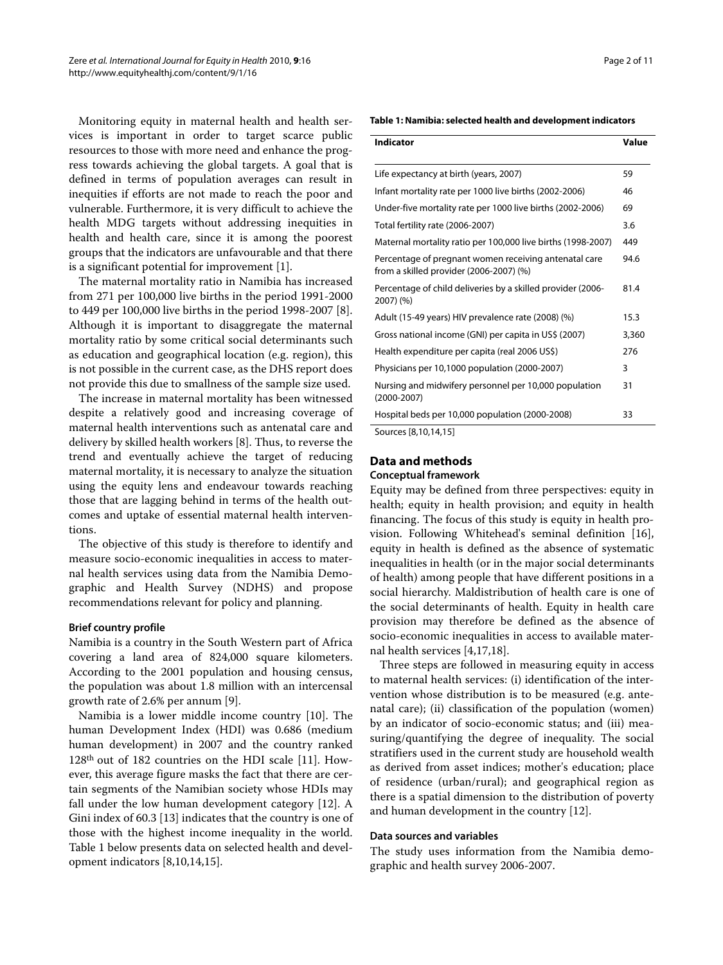Monitoring equity in maternal health and health services is important in order to target scarce public resources to those with more need and enhance the progress towards achieving the global targets. A goal that is defined in terms of population averages can result in inequities if efforts are not made to reach the poor and vulnerable. Furthermore, it is very difficult to achieve the health MDG targets without addressing inequities in health and health care, since it is among the poorest groups that the indicators are unfavourable and that there is a significant potential for improvement [[1\]](#page-10-0).

The maternal mortality ratio in Namibia has increased from 271 per 100,000 live births in the period 1991-2000 to 449 per 100,000 live births in the period 1998-2007 [\[8\]](#page-10-5). Although it is important to disaggregate the maternal mortality ratio by some critical social determinants such as education and geographical location (e.g. region), this is not possible in the current case, as the DHS report does not provide this due to smallness of the sample size used.

The increase in maternal mortality has been witnessed despite a relatively good and increasing coverage of maternal health interventions such as antenatal care and delivery by skilled health workers [\[8](#page-10-5)]. Thus, to reverse the trend and eventually achieve the target of reducing maternal mortality, it is necessary to analyze the situation using the equity lens and endeavour towards reaching those that are lagging behind in terms of the health outcomes and uptake of essential maternal health interventions.

The objective of this study is therefore to identify and measure socio-economic inequalities in access to maternal health services using data from the Namibia Demographic and Health Survey (NDHS) and propose recommendations relevant for policy and planning.

#### **Brief country profile**

Namibia is a country in the South Western part of Africa covering a land area of 824,000 square kilometers. According to the 2001 population and housing census, the population was about 1.8 million with an intercensal growth rate of 2.6% per annum [\[9](#page-10-6)].

Namibia is a lower middle income country [\[10\]](#page-10-7). The human Development Index (HDI) was 0.686 (medium human development) in 2007 and the country ranked 128th out of 182 countries on the HDI scale [\[11](#page-10-8)]. However, this average figure masks the fact that there are certain segments of the Namibian society whose HDIs may fall under the low human development category [[12\]](#page-10-9). A Gini index of 60.3 [\[13](#page-10-10)] indicates that the country is one of those with the highest income inequality in the world. Table 1 below presents data on selected health and development indicators [[8,](#page-10-5)[10](#page-10-7)[,14](#page-10-11)[,15](#page-10-12)].

#### **Table 1: Namibia: selected health and development indicators**

| <b>Indicator</b>                                                                                 | Value |  |  |  |
|--------------------------------------------------------------------------------------------------|-------|--|--|--|
|                                                                                                  |       |  |  |  |
| Life expectancy at birth (years, 2007)                                                           |       |  |  |  |
| Infant mortality rate per 1000 live births (2002-2006)                                           |       |  |  |  |
| Under-five mortality rate per 1000 live births (2002-2006)                                       | 69    |  |  |  |
| Total fertility rate (2006-2007)                                                                 | 3.6   |  |  |  |
| Maternal mortality ratio per 100,000 live births (1998-2007)                                     | 449   |  |  |  |
| Percentage of pregnant women receiving antenatal care<br>from a skilled provider (2006-2007) (%) | 94.6  |  |  |  |
| Percentage of child deliveries by a skilled provider (2006-<br>2007) (%)                         | 81.4  |  |  |  |
| Adult (15-49 years) HIV prevalence rate (2008) (%)                                               | 15.3  |  |  |  |
| Gross national income (GNI) per capita in US\$ (2007)                                            | 3,360 |  |  |  |
| Health expenditure per capita (real 2006 US\$)                                                   | 276   |  |  |  |
| Physicians per 10,1000 population (2000-2007)                                                    | 3     |  |  |  |
| Nursing and midwifery personnel per 10,000 population<br>$(2000 - 2007)$                         | 31    |  |  |  |
| Hospital beds per 10,000 population (2000-2008)                                                  | 33    |  |  |  |

Sources [[8,](#page-10-5)[10,](#page-10-7)[14,](#page-10-11)[15](#page-10-12)]

#### **Data and methods Conceptual framework**

Equity may be defined from three perspectives: equity in health; equity in health provision; and equity in health financing. The focus of this study is equity in health provision. Following Whitehead's seminal definition [\[16](#page-10-13)], equity in health is defined as the absence of systematic inequalities in health (or in the major social determinants of health) among people that have different positions in a social hierarchy. Maldistribution of health care is one of the social determinants of health. Equity in health care provision may therefore be defined as the absence of socio-economic inequalities in access to available maternal health services [\[4](#page-10-14)[,17](#page-10-15)[,18](#page-10-16)].

Three steps are followed in measuring equity in access to maternal health services: (i) identification of the intervention whose distribution is to be measured (e.g. antenatal care); (ii) classification of the population (women) by an indicator of socio-economic status; and (iii) measuring/quantifying the degree of inequality. The social stratifiers used in the current study are household wealth as derived from asset indices; mother's education; place of residence (urban/rural); and geographical region as there is a spatial dimension to the distribution of poverty and human development in the country [[12\]](#page-10-9).

#### **Data sources and variables**

The study uses information from the Namibia demographic and health survey 2006-2007.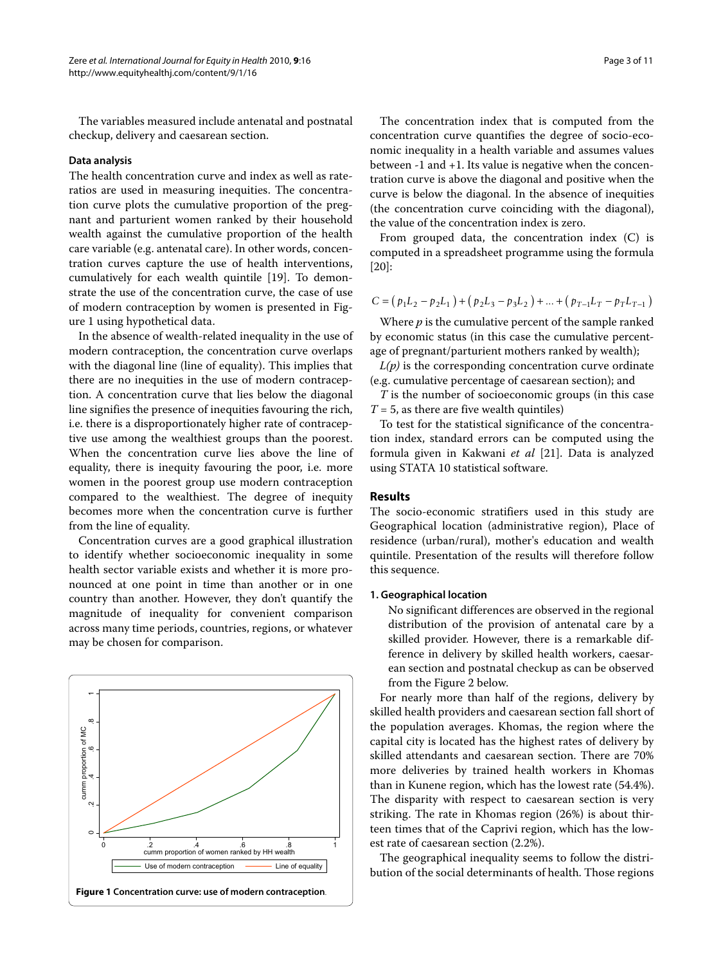The variables measured include antenatal and postnatal checkup, delivery and caesarean section.

# **Data analysis**

The health concentration curve and index as well as rateratios are used in measuring inequities. The concentration curve plots the cumulative proportion of the pregnant and parturient women ranked by their household wealth against the cumulative proportion of the health care variable (e.g. antenatal care). In other words, concentration curves capture the use of health interventions, cumulatively for each wealth quintile [\[19](#page-10-17)]. To demonstrate the use of the concentration curve, the case of use of modern contraception by women is presented in Figure [1](#page-2-0) using hypothetical data.

In the absence of wealth-related inequality in the use of modern contraception, the concentration curve overlaps with the diagonal line (line of equality). This implies that there are no inequities in the use of modern contraception. A concentration curve that lies below the diagonal line signifies the presence of inequities favouring the rich, i.e. there is a disproportionately higher rate of contraceptive use among the wealthiest groups than the poorest. When the concentration curve lies above the line of equality, there is inequity favouring the poor, i.e. more women in the poorest group use modern contraception compared to the wealthiest. The degree of inequity becomes more when the concentration curve is further from the line of equality.

Concentration curves are a good graphical illustration to identify whether socioeconomic inequality in some health sector variable exists and whether it is more pronounced at one point in time than another or in one country than another. However, they don't quantify the magnitude of inequality for convenient comparison across many time periods, countries, regions, or whatever may be chosen for comparison.

<span id="page-2-0"></span>

The concentration index that is computed from the concentration curve quantifies the degree of socio-economic inequality in a health variable and assumes values between -1 and +1. Its value is negative when the concentration curve is above the diagonal and positive when the curve is below the diagonal. In the absence of inequities (the concentration curve coinciding with the diagonal), the value of the concentration index is zero.

From grouped data, the concentration index (C) is computed in a spreadsheet programme using the formula [[20\]](#page-10-18):

$$
C = (p_1L_2 - p_2L_1) + (p_2L_3 - p_3L_2) + ... + (p_{T-1}L_T - p_TL_{T-1})
$$

Where *p* is the cumulative percent of the sample ranked by economic status (in this case the cumulative percentage of pregnant/parturient mothers ranked by wealth);

 $L(p)$  is the corresponding concentration curve ordinate (e.g. cumulative percentage of caesarean section); and

*T* is the number of socioeconomic groups (in this case  $T = 5$ , as there are five wealth quintiles)

To test for the statistical significance of the concentration index, standard errors can be computed using the formula given in Kakwani *et al* [\[21\]](#page-10-19). Data is analyzed using STATA 10 statistical software.

# **Results**

The socio-economic stratifiers used in this study are Geographical location (administrative region), Place of residence (urban/rural), mother's education and wealth quintile. Presentation of the results will therefore follow this sequence.

### **1. Geographical location**

No significant differences are observed in the regional distribution of the provision of antenatal care by a skilled provider. However, there is a remarkable difference in delivery by skilled health workers, caesarean section and postnatal checkup as can be observed from the Figure [2](#page-3-0) below.

For nearly more than half of the regions, delivery by skilled health providers and caesarean section fall short of the population averages. Khomas, the region where the capital city is located has the highest rates of delivery by skilled attendants and caesarean section. There are 70% more deliveries by trained health workers in Khomas than in Kunene region, which has the lowest rate (54.4%). The disparity with respect to caesarean section is very striking. The rate in Khomas region (26%) is about thirteen times that of the Caprivi region, which has the lowest rate of caesarean section (2.2%).

The geographical inequality seems to follow the distribution of the social determinants of health. Those regions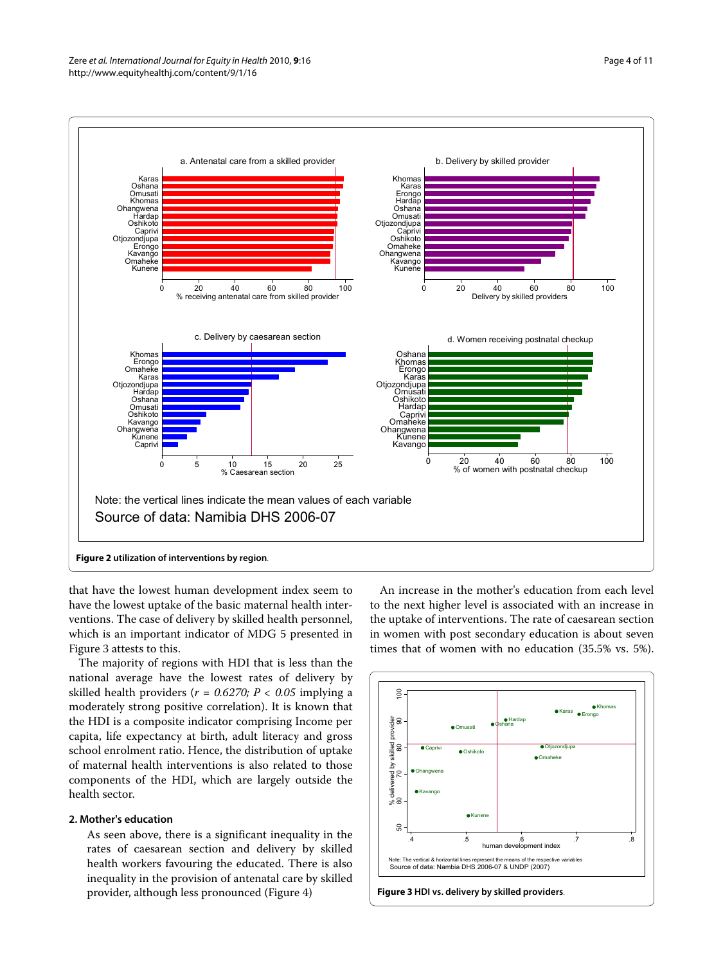<span id="page-3-0"></span>

that have the lowest human development index seem to have the lowest uptake of the basic maternal health interventions. The case of delivery by skilled health personnel, which is an important indicator of MDG 5 presented in Figure [3](#page-3-1) attests to this.

The majority of regions with HDI that is less than the national average have the lowest rates of delivery by skilled health providers (*r = 0.6270; P < 0.05* implying a moderately strong positive correlation). It is known that the HDI is a composite indicator comprising Income per capita, life expectancy at birth, adult literacy and gross school enrolment ratio. Hence, the distribution of uptake of maternal health interventions is also related to those components of the HDI, which are largely outside the health sector.

# **2. Mother's education**

As seen above, there is a significant inequality in the rates of caesarean section and delivery by skilled health workers favouring the educated. There is also inequality in the provision of antenatal care by skilled provider, although less pronounced (Figure [4](#page-4-0))

An increase in the mother's education from each level to the next higher level is associated with an increase in the uptake of interventions. The rate of caesarean section in women with post secondary education is about seven times that of women with no education (35.5% vs. 5%).

<span id="page-3-1"></span>

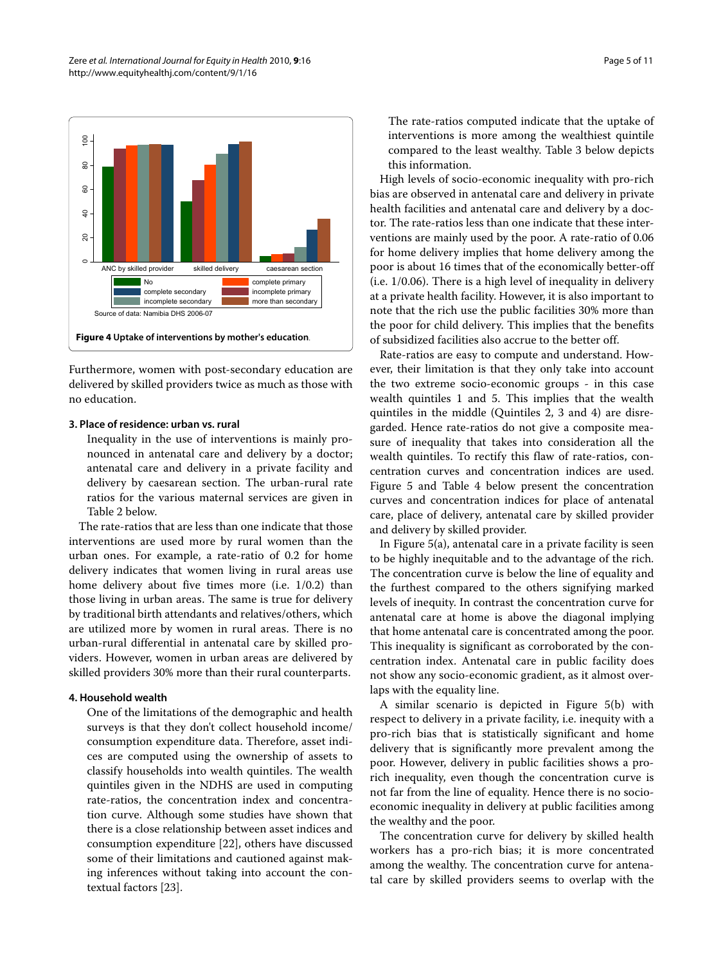<span id="page-4-0"></span>

Furthermore, women with post-secondary education are delivered by skilled providers twice as much as those with no education.

## **3. Place of residence: urban vs. rural**

Inequality in the use of interventions is mainly pronounced in antenatal care and delivery by a doctor; antenatal care and delivery in a private facility and delivery by caesarean section. The urban-rural rate ratios for the various maternal services are given in Table 2 below.

The rate-ratios that are less than one indicate that those interventions are used more by rural women than the urban ones. For example, a rate-ratio of 0.2 for home delivery indicates that women living in rural areas use home delivery about five times more (i.e. 1/0.2) than those living in urban areas. The same is true for delivery by traditional birth attendants and relatives/others, which are utilized more by women in rural areas. There is no urban-rural differential in antenatal care by skilled providers. However, women in urban areas are delivered by skilled providers 30% more than their rural counterparts.

#### **4. Household wealth**

One of the limitations of the demographic and health surveys is that they don't collect household income/ consumption expenditure data. Therefore, asset indices are computed using the ownership of assets to classify households into wealth quintiles. The wealth quintiles given in the NDHS are used in computing rate-ratios, the concentration index and concentration curve. Although some studies have shown that there is a close relationship between asset indices and consumption expenditure [\[22](#page-10-20)], others have discussed some of their limitations and cautioned against making inferences without taking into account the contextual factors [\[23](#page-10-21)].

The rate-ratios computed indicate that the uptake of interventions is more among the wealthiest quintile compared to the least wealthy. Table 3 below depicts this information.

High levels of socio-economic inequality with pro-rich bias are observed in antenatal care and delivery in private health facilities and antenatal care and delivery by a doctor. The rate-ratios less than one indicate that these interventions are mainly used by the poor. A rate-ratio of 0.06 for home delivery implies that home delivery among the poor is about 16 times that of the economically better-off (i.e. 1/0.06). There is a high level of inequality in delivery at a private health facility. However, it is also important to note that the rich use the public facilities 30% more than the poor for child delivery. This implies that the benefits of subsidized facilities also accrue to the better off.

Rate-ratios are easy to compute and understand. However, their limitation is that they only take into account the two extreme socio-economic groups - in this case wealth quintiles 1 and 5. This implies that the wealth quintiles in the middle (Quintiles 2, 3 and 4) are disregarded. Hence rate-ratios do not give a composite measure of inequality that takes into consideration all the wealth quintiles. To rectify this flaw of rate-ratios, concentration curves and concentration indices are used. Figure [5](#page-7-0) and Table 4 below present the concentration curves and concentration indices for place of antenatal care, place of delivery, antenatal care by skilled provider and delivery by skilled provider.

In Figure [5](#page-7-0)(a), antenatal care in a private facility is seen to be highly inequitable and to the advantage of the rich. The concentration curve is below the line of equality and the furthest compared to the others signifying marked levels of inequity. In contrast the concentration curve for antenatal care at home is above the diagonal implying that home antenatal care is concentrated among the poor. This inequality is significant as corroborated by the concentration index. Antenatal care in public facility does not show any socio-economic gradient, as it almost overlaps with the equality line.

A similar scenario is depicted in Figure [5\(](#page-7-0)b) with respect to delivery in a private facility, i.e. inequity with a pro-rich bias that is statistically significant and home delivery that is significantly more prevalent among the poor. However, delivery in public facilities shows a prorich inequality, even though the concentration curve is not far from the line of equality. Hence there is no socioeconomic inequality in delivery at public facilities among the wealthy and the poor.

The concentration curve for delivery by skilled health workers has a pro-rich bias; it is more concentrated among the wealthy. The concentration curve for antenatal care by skilled providers seems to overlap with the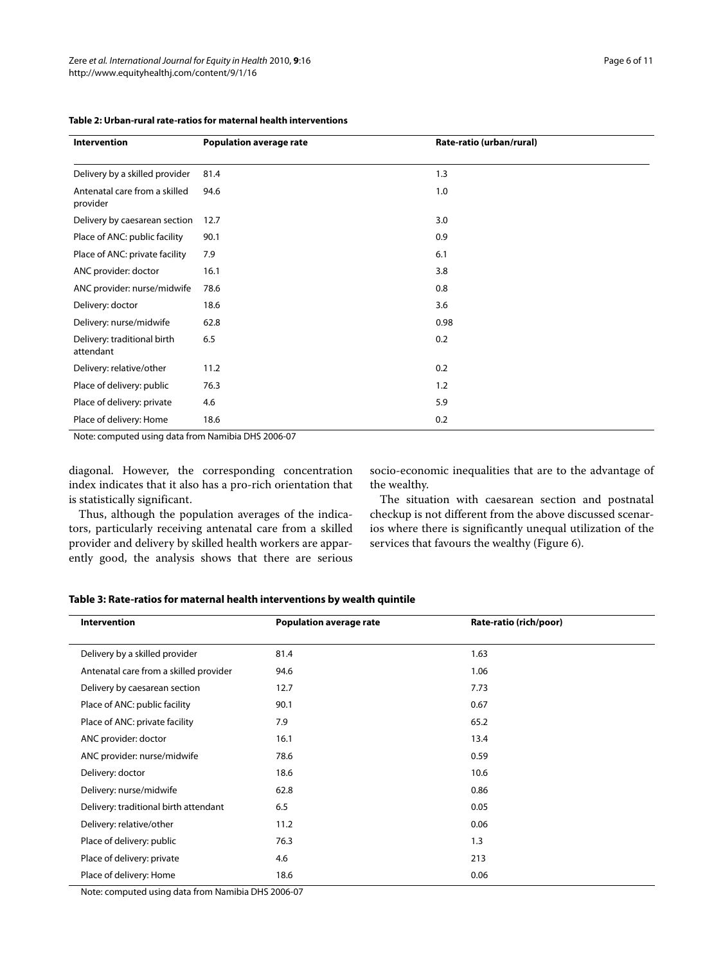| Intervention                              | <b>Population average rate</b> | Rate-ratio (urban/rural) |
|-------------------------------------------|--------------------------------|--------------------------|
| Delivery by a skilled provider            | 81.4                           | 1.3                      |
| Antenatal care from a skilled<br>provider | 94.6                           | 1.0                      |
| Delivery by caesarean section             | 12.7                           | 3.0                      |
| Place of ANC: public facility             | 90.1                           | 0.9                      |
| Place of ANC: private facility            | 7.9                            | 6.1                      |
| ANC provider: doctor                      | 16.1                           | 3.8                      |
| ANC provider: nurse/midwife               | 78.6                           | 0.8                      |
| Delivery: doctor                          | 18.6                           | 3.6                      |
| Delivery: nurse/midwife                   | 62.8                           | 0.98                     |
| Delivery: traditional birth<br>attendant  | 6.5                            | 0.2                      |
| Delivery: relative/other                  | 11.2                           | 0.2                      |
| Place of delivery: public                 | 76.3                           | 1.2                      |
| Place of delivery: private                | 4.6                            | 5.9                      |
| Place of delivery: Home                   | 18.6                           | 0.2                      |

#### **Table 2: Urban-rural rate-ratios for maternal health interventions**

Note: computed using data from Namibia DHS 2006-07

diagonal. However, the corresponding concentration index indicates that it also has a pro-rich orientation that is statistically significant.

Thus, although the population averages of the indicators, particularly receiving antenatal care from a skilled provider and delivery by skilled health workers are apparently good, the analysis shows that there are serious

socio-economic inequalities that are to the advantage of the wealthy.

The situation with caesarean section and postnatal checkup is not different from the above discussed scenarios where there is significantly unequal utilization of the services that favours the wealthy (Figure [6\)](#page-8-0).

## **Table 3: Rate-ratios for maternal health interventions by wealth quintile**

| <b>Intervention</b>                    | Rate-ratio (rich/poor)<br><b>Population average rate</b> |      |  |
|----------------------------------------|----------------------------------------------------------|------|--|
|                                        |                                                          |      |  |
| Delivery by a skilled provider         | 81.4                                                     | 1.63 |  |
| Antenatal care from a skilled provider | 94.6                                                     | 1.06 |  |
| Delivery by caesarean section          | 12.7                                                     | 7.73 |  |
| Place of ANC: public facility          | 90.1                                                     | 0.67 |  |
| Place of ANC: private facility         | 7.9                                                      | 65.2 |  |
| ANC provider: doctor                   | 16.1                                                     | 13.4 |  |
| ANC provider: nurse/midwife            | 78.6                                                     | 0.59 |  |
| Delivery: doctor                       | 18.6                                                     | 10.6 |  |
| Delivery: nurse/midwife                | 62.8                                                     | 0.86 |  |
| Delivery: traditional birth attendant  | 6.5                                                      | 0.05 |  |
| Delivery: relative/other               | 11.2                                                     | 0.06 |  |
| Place of delivery: public              | 76.3                                                     | 1.3  |  |
| Place of delivery: private             | 4.6                                                      | 213  |  |
| Place of delivery: Home                | 18.6                                                     | 0.06 |  |

Note: computed using data from Namibia DHS 2006-07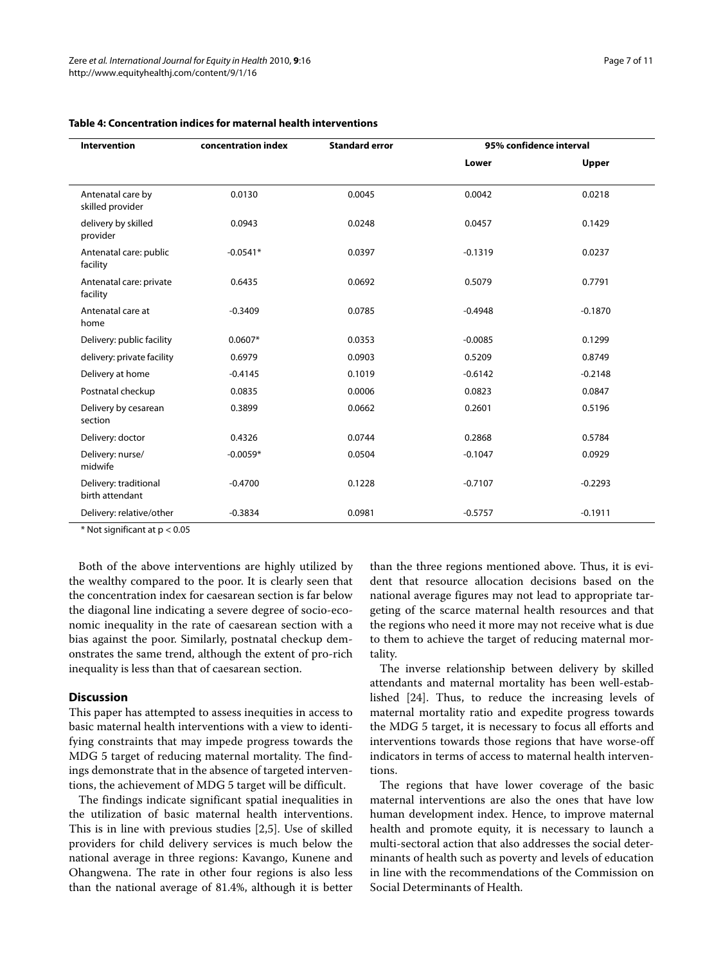| Intervention                             | concentration index | <b>Standard error</b> | 95% confidence interval |           |
|------------------------------------------|---------------------|-----------------------|-------------------------|-----------|
|                                          |                     |                       | Lower                   | Upper     |
| Antenatal care by<br>skilled provider    | 0.0130              | 0.0045                | 0.0042                  | 0.0218    |
| delivery by skilled<br>provider          | 0.0943              | 0.0248                | 0.0457                  | 0.1429    |
| Antenatal care: public<br>facility       | $-0.0541*$          | 0.0397                | $-0.1319$               | 0.0237    |
| Antenatal care: private<br>facility      | 0.6435              | 0.0692                | 0.5079                  | 0.7791    |
| Antenatal care at<br>home                | $-0.3409$           | 0.0785                | $-0.4948$               | $-0.1870$ |
| Delivery: public facility                | $0.0607*$           | 0.0353                | $-0.0085$               | 0.1299    |
| delivery: private facility               | 0.6979              | 0.0903                | 0.5209                  | 0.8749    |
| Delivery at home                         | $-0.4145$           | 0.1019                | $-0.6142$               | $-0.2148$ |
| Postnatal checkup                        | 0.0835              | 0.0006                | 0.0823                  | 0.0847    |
| Delivery by cesarean<br>section          | 0.3899              | 0.0662                | 0.2601                  | 0.5196    |
| Delivery: doctor                         | 0.4326              | 0.0744                | 0.2868                  | 0.5784    |
| Delivery: nurse/<br>midwife              | $-0.0059*$          | 0.0504                | $-0.1047$               | 0.0929    |
| Delivery: traditional<br>birth attendant | $-0.4700$           | 0.1228                | $-0.7107$               | $-0.2293$ |
| Delivery: relative/other                 | $-0.3834$           | 0.0981                | $-0.5757$               | $-0.1911$ |

# **Table 4: Concentration indices for maternal health interventions**

\* Not significant at p < 0.05

Both of the above interventions are highly utilized by the wealthy compared to the poor. It is clearly seen that the concentration index for caesarean section is far below the diagonal line indicating a severe degree of socio-economic inequality in the rate of caesarean section with a bias against the poor. Similarly, postnatal checkup demonstrates the same trend, although the extent of pro-rich inequality is less than that of caesarean section.

#### **Discussion**

This paper has attempted to assess inequities in access to basic maternal health interventions with a view to identifying constraints that may impede progress towards the MDG 5 target of reducing maternal mortality. The findings demonstrate that in the absence of targeted interventions, the achievement of MDG 5 target will be difficult.

The findings indicate significant spatial inequalities in the utilization of basic maternal health interventions. This is in line with previous studies [\[2](#page-10-1)[,5](#page-10-2)]. Use of skilled providers for child delivery services is much below the national average in three regions: Kavango, Kunene and Ohangwena. The rate in other four regions is also less than the national average of 81.4%, although it is better

than the three regions mentioned above. Thus, it is evident that resource allocation decisions based on the national average figures may not lead to appropriate targeting of the scarce maternal health resources and that the regions who need it more may not receive what is due to them to achieve the target of reducing maternal mortality.

The inverse relationship between delivery by skilled attendants and maternal mortality has been well-established [[24\]](#page-10-22). Thus, to reduce the increasing levels of maternal mortality ratio and expedite progress towards the MDG 5 target, it is necessary to focus all efforts and interventions towards those regions that have worse-off indicators in terms of access to maternal health interventions.

The regions that have lower coverage of the basic maternal interventions are also the ones that have low human development index. Hence, to improve maternal health and promote equity, it is necessary to launch a multi-sectoral action that also addresses the social determinants of health such as poverty and levels of education in line with the recommendations of the Commission on Social Determinants of Health.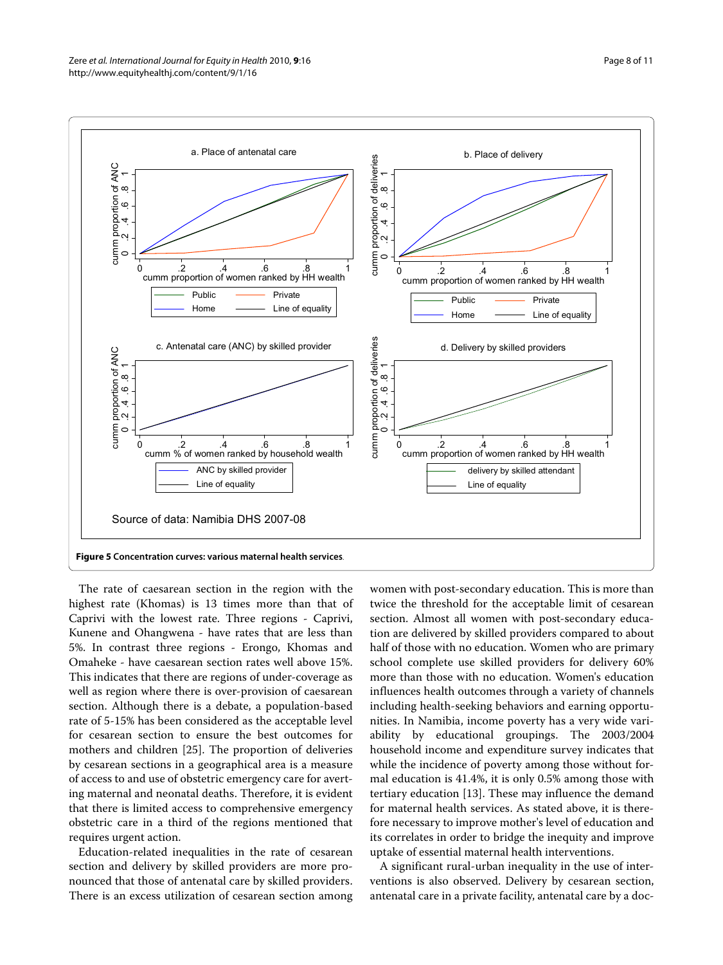<span id="page-7-0"></span>

The rate of caesarean section in the region with the highest rate (Khomas) is 13 times more than that of Caprivi with the lowest rate. Three regions - Caprivi, Kunene and Ohangwena - have rates that are less than 5%. In contrast three regions - Erongo, Khomas and Omaheke - have caesarean section rates well above 15%. This indicates that there are regions of under-coverage as well as region where there is over-provision of caesarean section. Although there is a debate, a population-based rate of 5-15% has been considered as the acceptable level for cesarean section to ensure the best outcomes for mothers and children [\[25](#page-10-23)]. The proportion of deliveries by cesarean sections in a geographical area is a measure of access to and use of obstetric emergency care for averting maternal and neonatal deaths. Therefore, it is evident that there is limited access to comprehensive emergency obstetric care in a third of the regions mentioned that requires urgent action.

Education-related inequalities in the rate of cesarean section and delivery by skilled providers are more pronounced that those of antenatal care by skilled providers. There is an excess utilization of cesarean section among

women with post-secondary education. This is more than twice the threshold for the acceptable limit of cesarean section. Almost all women with post-secondary education are delivered by skilled providers compared to about half of those with no education. Women who are primary school complete use skilled providers for delivery 60% more than those with no education. Women's education influences health outcomes through a variety of channels including health-seeking behaviors and earning opportunities. In Namibia, income poverty has a very wide variability by educational groupings. The 2003/2004 household income and expenditure survey indicates that while the incidence of poverty among those without formal education is 41.4%, it is only 0.5% among those with tertiary education [\[13](#page-10-10)]. These may influence the demand for maternal health services. As stated above, it is therefore necessary to improve mother's level of education and its correlates in order to bridge the inequity and improve uptake of essential maternal health interventions.

A significant rural-urban inequality in the use of interventions is also observed. Delivery by cesarean section, antenatal care in a private facility, antenatal care by a doc-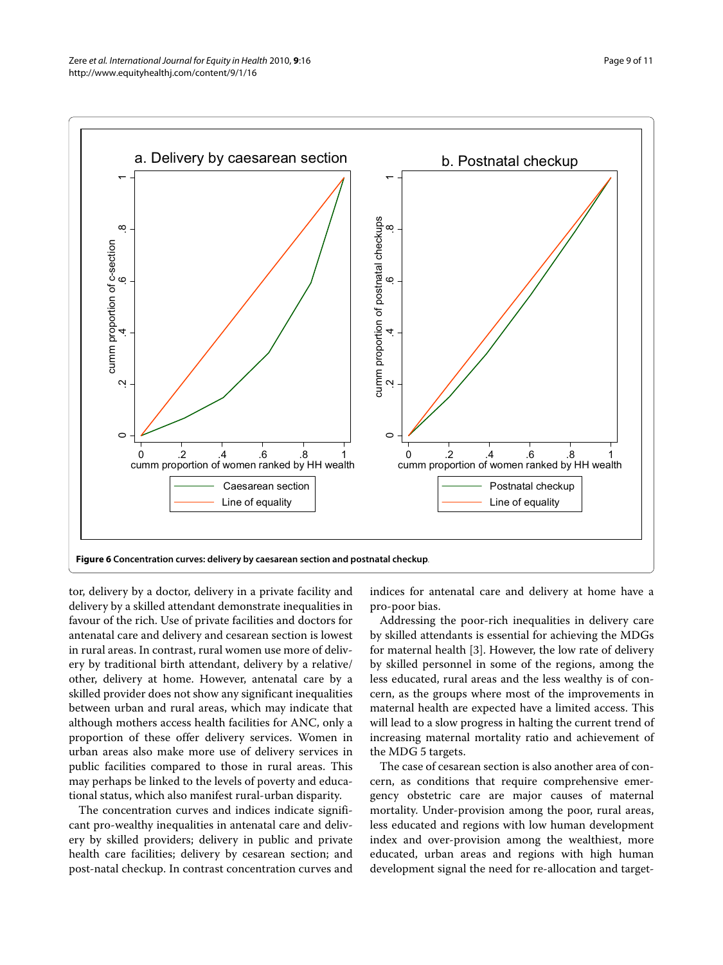<span id="page-8-0"></span>

tor, delivery by a doctor, delivery in a private facility and delivery by a skilled attendant demonstrate inequalities in favour of the rich. Use of private facilities and doctors for antenatal care and delivery and cesarean section is lowest in rural areas. In contrast, rural women use more of delivery by traditional birth attendant, delivery by a relative/ other, delivery at home. However, antenatal care by a skilled provider does not show any significant inequalities between urban and rural areas, which may indicate that although mothers access health facilities for ANC, only a proportion of these offer delivery services. Women in urban areas also make more use of delivery services in public facilities compared to those in rural areas. This may perhaps be linked to the levels of poverty and educational status, which also manifest rural-urban disparity.

The concentration curves and indices indicate significant pro-wealthy inequalities in antenatal care and delivery by skilled providers; delivery in public and private health care facilities; delivery by cesarean section; and post-natal checkup. In contrast concentration curves and indices for antenatal care and delivery at home have a pro-poor bias.

Addressing the poor-rich inequalities in delivery care by skilled attendants is essential for achieving the MDGs for maternal health [[3\]](#page-10-24). However, the low rate of delivery by skilled personnel in some of the regions, among the less educated, rural areas and the less wealthy is of concern, as the groups where most of the improvements in maternal health are expected have a limited access. This will lead to a slow progress in halting the current trend of increasing maternal mortality ratio and achievement of the MDG 5 targets.

The case of cesarean section is also another area of concern, as conditions that require comprehensive emergency obstetric care are major causes of maternal mortality. Under-provision among the poor, rural areas, less educated and regions with low human development index and over-provision among the wealthiest, more educated, urban areas and regions with high human development signal the need for re-allocation and target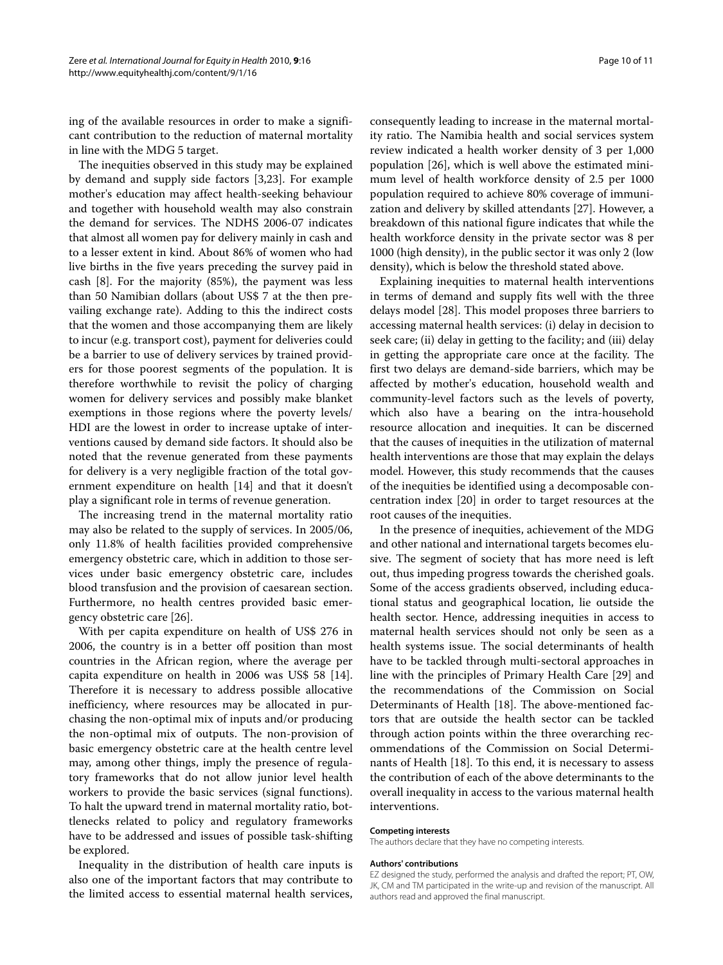ing of the available resources in order to make a significant contribution to the reduction of maternal mortality in line with the MDG 5 target.

The inequities observed in this study may be explained by demand and supply side factors [\[3](#page-10-24),[23](#page-10-21)]. For example mother's education may affect health-seeking behaviour and together with household wealth may also constrain the demand for services. The NDHS 2006-07 indicates that almost all women pay for delivery mainly in cash and to a lesser extent in kind. About 86% of women who had live births in the five years preceding the survey paid in cash [\[8](#page-10-5)]. For the majority (85%), the payment was less than 50 Namibian dollars (about US\$ 7 at the then prevailing exchange rate). Adding to this the indirect costs that the women and those accompanying them are likely to incur (e.g. transport cost), payment for deliveries could be a barrier to use of delivery services by trained providers for those poorest segments of the population. It is therefore worthwhile to revisit the policy of charging women for delivery services and possibly make blanket exemptions in those regions where the poverty levels/ HDI are the lowest in order to increase uptake of interventions caused by demand side factors. It should also be noted that the revenue generated from these payments for delivery is a very negligible fraction of the total government expenditure on health [[14\]](#page-10-11) and that it doesn't play a significant role in terms of revenue generation.

The increasing trend in the maternal mortality ratio may also be related to the supply of services. In 2005/06, only 11.8% of health facilities provided comprehensive emergency obstetric care, which in addition to those services under basic emergency obstetric care, includes blood transfusion and the provision of caesarean section. Furthermore, no health centres provided basic emergency obstetric care [[26\]](#page-10-25).

With per capita expenditure on health of US\$ 276 in 2006, the country is in a better off position than most countries in the African region, where the average per capita expenditure on health in 2006 was US\$ 58 [\[14](#page-10-11)]. Therefore it is necessary to address possible allocative inefficiency, where resources may be allocated in purchasing the non-optimal mix of inputs and/or producing the non-optimal mix of outputs. The non-provision of basic emergency obstetric care at the health centre level may, among other things, imply the presence of regulatory frameworks that do not allow junior level health workers to provide the basic services (signal functions). To halt the upward trend in maternal mortality ratio, bottlenecks related to policy and regulatory frameworks have to be addressed and issues of possible task-shifting be explored.

Inequality in the distribution of health care inputs is also one of the important factors that may contribute to the limited access to essential maternal health services,

consequently leading to increase in the maternal mortality ratio. The Namibia health and social services system review indicated a health worker density of 3 per 1,000 population [[26](#page-10-25)], which is well above the estimated minimum level of health workforce density of 2.5 per 1000 population required to achieve 80% coverage of immunization and delivery by skilled attendants [\[27](#page-10-26)]. However, a breakdown of this national figure indicates that while the health workforce density in the private sector was 8 per 1000 (high density), in the public sector it was only 2 (low density), which is below the threshold stated above.

Explaining inequities to maternal health interventions in terms of demand and supply fits well with the three delays model [\[28](#page-10-27)]. This model proposes three barriers to accessing maternal health services: (i) delay in decision to seek care; (ii) delay in getting to the facility; and (iii) delay in getting the appropriate care once at the facility. The first two delays are demand-side barriers, which may be affected by mother's education, household wealth and community-level factors such as the levels of poverty, which also have a bearing on the intra-household resource allocation and inequities. It can be discerned that the causes of inequities in the utilization of maternal health interventions are those that may explain the delays model. However, this study recommends that the causes of the inequities be identified using a decomposable concentration index [\[20](#page-10-18)] in order to target resources at the root causes of the inequities.

In the presence of inequities, achievement of the MDG and other national and international targets becomes elusive. The segment of society that has more need is left out, thus impeding progress towards the cherished goals. Some of the access gradients observed, including educational status and geographical location, lie outside the health sector. Hence, addressing inequities in access to maternal health services should not only be seen as a health systems issue. The social determinants of health have to be tackled through multi-sectoral approaches in line with the principles of Primary Health Care [\[29](#page-10-28)] and the recommendations of the Commission on Social Determinants of Health [\[18\]](#page-10-16). The above-mentioned factors that are outside the health sector can be tackled through action points within the three overarching recommendations of the Commission on Social Determinants of Health [\[18\]](#page-10-16). To this end, it is necessary to assess the contribution of each of the above determinants to the overall inequality in access to the various maternal health interventions.

#### **Competing interests**

The authors declare that they have no competing interests.

#### **Authors' contributions**

EZ designed the study, performed the analysis and drafted the report; PT, OW, JK, CM and TM participated in the write-up and revision of the manuscript. All authors read and approved the final manuscript.